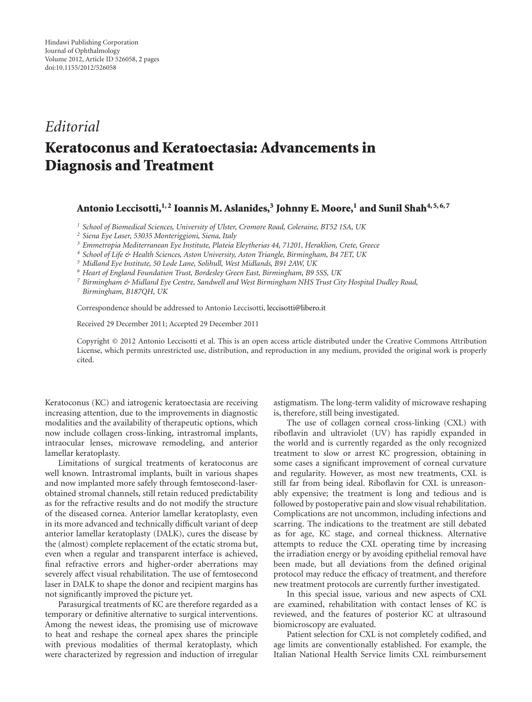## *Editorial*

## **Keratoconus and Keratoectasia: Advancements in Diagnosis and Treatment**

## Antonio Leccisotti,<sup>1,2</sup> Ioannis M. Aslanides,<sup>3</sup> Johnny E. Moore,<sup>1</sup> and Sunil Shah<sup>4,5,6,7</sup>

*<sup>1</sup> School of Biomedical Sciences, University of Ulster, Cromore Road, Coleraine, BT52 1SA, UK*

*<sup>2</sup> Siena Eye Laser, 53035 Monteriggioni, Siena, Italy*

*<sup>3</sup> Emmetropia Mediterranean Eye Institute, Plateia Eleytherias 44, 71201, Heraklion, Crete, Greece*

- *<sup>4</sup> School of Life & Health Sciences, Aston University, Aston Triangle, Birmingham, B4 7ET, UK*
- *<sup>5</sup> Midland Eye Institute, 50 Lode Lane, Solihull, West Midlands, B91 2AW, UK*
- *<sup>6</sup> Heart of England Foundation Trust, Bordesley Green East, Birmingham, B9 5SS, UK*

*<sup>7</sup> Birmingham & Midland Eye Centre, Sandwell and West Birmingham NHS Trust City Hospital Dudley Road, Birmingham, B187QH, UK*

Correspondence should be addressed to Antonio Leccisotti, leccisotti@libero.it

Received 29 December 2011; Accepted 29 December 2011

Copyright © 2012 Antonio Leccisotti et al. This is an open access article distributed under the Creative Commons Attribution License, which permits unrestricted use, distribution, and reproduction in any medium, provided the original work is properly cited.

Keratoconus (KC) and iatrogenic keratoectasia are receiving increasing attention, due to the improvements in diagnostic modalities and the availability of therapeutic options, which now include collagen cross-linking, intrastromal implants, intraocular lenses, microwave remodeling, and anterior lamellar keratoplasty.

Limitations of surgical treatments of keratoconus are well known. Intrastromal implants, built in various shapes and now implanted more safely through femtosecond-laserobtained stromal channels, still retain reduced predictability as for the refractive results and do not modify the structure of the diseased cornea. Anterior lamellar keratoplasty, even in its more advanced and technically difficult variant of deep anterior lamellar keratoplasty (DALK), cures the disease by the (almost) complete replacement of the ectatic stroma but, even when a regular and transparent interface is achieved, final refractive errors and higher-order aberrations may severely affect visual rehabilitation. The use of femtosecond laser in DALK to shape the donor and recipient margins has not significantly improved the picture yet.

Parasurgical treatments of KC are therefore regarded as a temporary or definitive alternative to surgical interventions. Among the newest ideas, the promising use of microwave to heat and reshape the corneal apex shares the principle with previous modalities of thermal keratoplasty, which were characterized by regression and induction of irregular astigmatism. The long-term validity of microwave reshaping is, therefore, still being investigated.

The use of collagen corneal cross-linking (CXL) with riboflavin and ultraviolet (UV) has rapidly expanded in the world and is currently regarded as the only recognized treatment to slow or arrest KC progression, obtaining in some cases a significant improvement of corneal curvature and regularity. However, as most new treatments, CXL is still far from being ideal. Riboflavin for CXL is unreasonably expensive; the treatment is long and tedious and is followed by postoperative pain and slow visual rehabilitation. Complications are not uncommon, including infections and scarring. The indications to the treatment are still debated as for age, KC stage, and corneal thickness. Alternative attempts to reduce the CXL operating time by increasing the irradiation energy or by avoiding epithelial removal have been made, but all deviations from the defined original protocol may reduce the efficacy of treatment, and therefore new treatment protocols are currently further investigated.

In this special issue, various and new aspects of CXL are examined, rehabilitation with contact lenses of KC is reviewed, and the features of posterior KC at ultrasound biomicroscopy are evaluated.

Patient selection for CXL is not completely codified, and age limits are conventionally established. For example, the Italian National Health Service limits CXL reimbursement